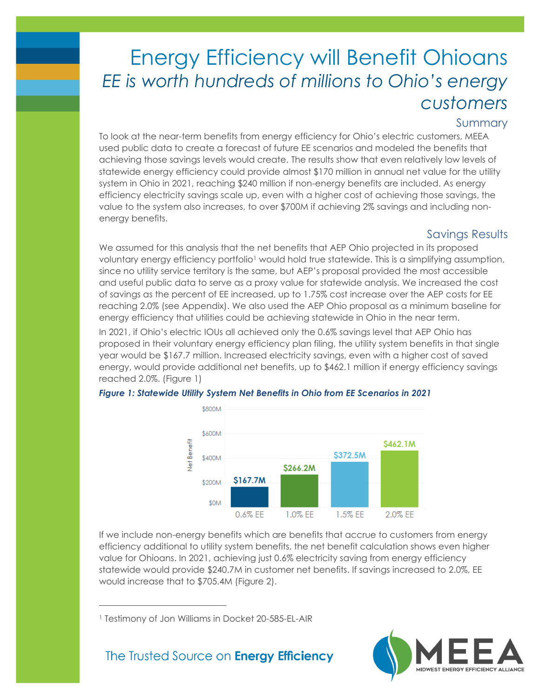# Energy Efficiency will Benefit Ohioans *EE is worth hundreds of millions to Ohio's energy customers*

### Summary

To look at the near-term benefits from energy efficiency for Ohio's electric customers, MEEA used public data to create a forecast of future EE scenarios and modeled the benefits that achieving those savings levels would create. The results show that even relatively low levels of statewide energy efficiency could provide almost \$170 million in annual net value for the utility system in Ohio in 2021, reaching \$240 million if non-energy benefits are included. As energy efficiency electricity savings scale up, even with a higher cost of achieving those savings, the value to the system also increases, to over \$700M if achieving 2% savings and including nonenergy benefits.

### Savings Results

We assumed for this analysis that the net benefits that AEP Ohio projected in its proposed voluntary energy efficiency portfolio<sup>1</sup> would hold true statewide. This is a simplifying assumption, since no utility service territory is the same, but AEP's proposal provided the most accessible and useful public data to serve as a proxy value for statewide analysis. We increased the cost of savings as the percent of EE increased, up to 1.75% cost increase over the AEP costs for EE reaching 2.0% (see Appendix). We also used the AEP Ohio proposal as a minimum baseline for energy efficiency that utilities could be achieving statewide in Ohio in the near term.

In 2021, if Ohio's electric IOUs all achieved only the 0.6% savings level that AEP Ohio has proposed in their voluntary energy efficiency plan filing, the utility system benefits in that single year would be \$167.7 million. Increased electricity savings, even with a higher cost of saved energy, would provide additional net benefits, up to \$462.1 million if energy efficiency savings reached 2.0%. (Figure 1)



#### *Figure 1: Statewide Utility System Net Benefits in Ohio from EE Scenarios in 2021*

If we include non-energy benefits which are benefits that accrue to customers from energy efficiency additional to utility system benefits, the net benefit calculation shows even higher value for Ohioans. In 2021, achieving just 0.6% electricity saving from energy efficiency statewide would provide \$240.7M in customer net benefits. If savings increased to 2.0%, EE would increase that to \$705.4M (Figure 2).

<sup>1</sup> Testimony of Jon Williams in Docket 20-585-EL-AIR

The Trusted Source on **Energy Efficiency** 

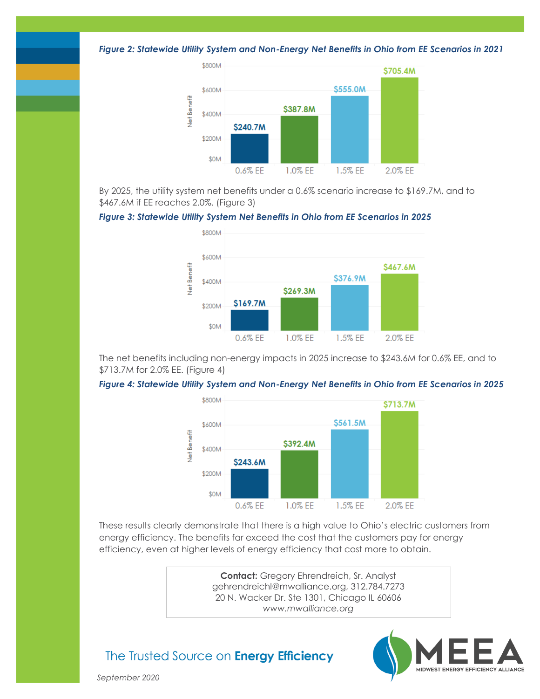*Figure 2: Statewide Utility System and Non-Energy Net Benefits in Ohio from EE Scenarios in 2021*



By 2025, the utility system net benefits under a 0.6% scenario increase to \$169.7M, and to \$467.6M if EE reaches 2.0%. (Figure 3)

#### *Figure 3: Statewide Utility System Net Benefits in Ohio from EE Scenarios in 2025*



The net benefits including non-energy impacts in 2025 increase to \$243.6M for 0.6% EE, and to \$713.7M for 2.0% EE. (Figure 4)

#### *Figure 4: Statewide Utility System and Non-Energy Net Benefits in Ohio from EE Scenarios in 2025*



These results clearly demonstrate that there is a high value to Ohio's electric customers from energy efficiency. The benefits far exceed the cost that the customers pay for energy efficiency, even at higher levels of energy efficiency that cost more to obtain.

> **Contact:** Gregory Ehrendreich, Sr. Analyst gehrendreichl@mwalliance.org, 312.784.7273 20 N. Wacker Dr. Ste 1301, Chicago IL 60606 *www.mwalliance.org*

## The Trusted Source on Energy Efficiency



*September 2020*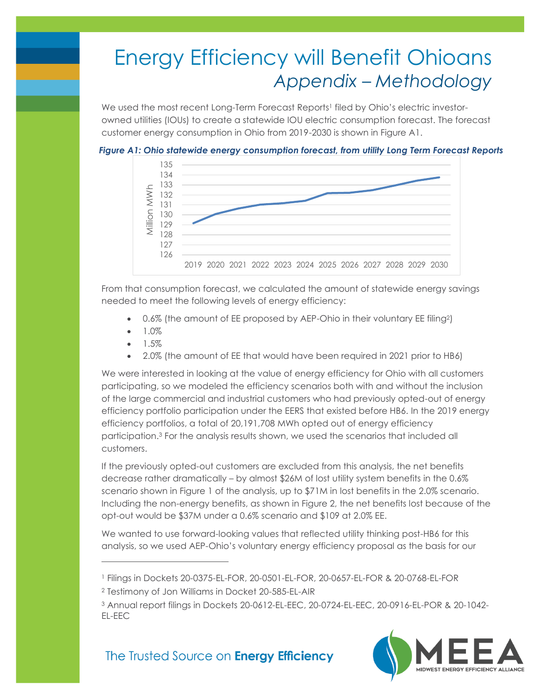# Energy Efficiency will Benefit Ohioans *Appendix – Methodology*

We used the most recent Long-Term Forecast Reports<sup>1</sup> filed by Ohio's electric investorowned utilities (IOUs) to create a statewide IOU electric consumption forecast. The forecast customer energy consumption in Ohio from 2019-2030 is shown in Figure A1.





From that consumption forecast, we calculated the amount of statewide energy savings needed to meet the following levels of energy efficiency:

- 0.6% (the amount of EE proposed by AEP-Ohio in their voluntary EE filing2)
- 1.0%
- 1.5%
- 2.0% (the amount of EE that would have been required in 2021 prior to HB6)

We were interested in looking at the value of energy efficiency for Ohio with all customers participating, so we modeled the efficiency scenarios both with and without the inclusion of the large commercial and industrial customers who had previously opted-out of energy efficiency portfolio participation under the EERS that existed before HB6. In the 2019 energy efficiency portfolios, a total of 20,191,708 MWh opted out of energy efficiency participation.<sup>3</sup> For the analysis results shown, we used the scenarios that included all customers.

If the previously opted-out customers are excluded from this analysis, the net benefits decrease rather dramatically – by almost \$26M of lost utility system benefits in the 0.6% scenario shown in Figure 1 of the analysis, up to \$71M in lost benefits in the 2.0% scenario. Including the non-energy benefits, as shown in Figure 2, the net benefits lost because of the opt-out would be \$37M under a 0.6% scenario and \$109 at 2.0% EE.

We wanted to use forward-looking values that reflected utility thinking post-HB6 for this analysis, so we used AEP-Ohio's voluntary energy efficiency proposal as the basis for our

<sup>3</sup> Annual report filings in Dockets 20-0612-EL-EEC, 20-0724-EL-EEC, 20-0916-EL-POR & 20-1042- EL-EEC



## The Trusted Source on **Energy Efficiency**

<sup>1</sup> Filings in Dockets 20-0375-EL-FOR, 20-0501-EL-FOR, 20-0657-EL-FOR & 20-0768-EL-FOR

<sup>2</sup> Testimony of Jon Williams in Docket 20-585-EL-AIR